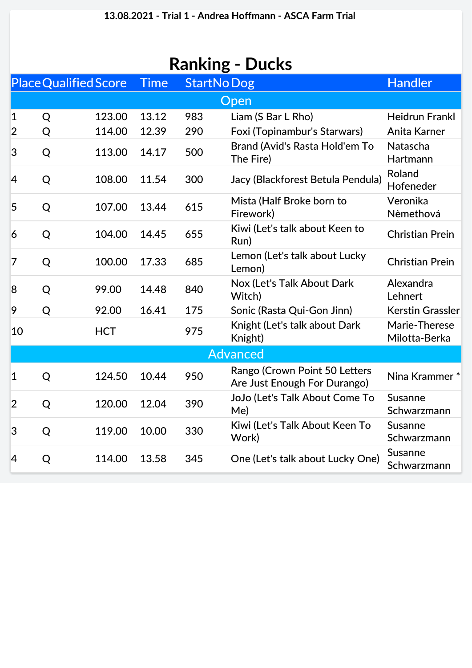| <b>Ranking - Ducks</b> |   |                              |             |     |                                                               |                                |  |  |  |  |  |
|------------------------|---|------------------------------|-------------|-----|---------------------------------------------------------------|--------------------------------|--|--|--|--|--|
|                        |   | <b>Place Qualified Score</b> | <b>Time</b> |     | <b>StartNoDog</b>                                             | <b>Handler</b>                 |  |  |  |  |  |
| Open                   |   |                              |             |     |                                                               |                                |  |  |  |  |  |
| $\mathbf{1}$           | Q | 123.00                       | 13.12       | 983 | Liam (S Bar L Rho)                                            | <b>Heidrun Frankl</b>          |  |  |  |  |  |
| $\overline{2}$         | Q | 114.00                       | 12.39       | 290 | Foxi (Topinambur's Starwars)                                  | Anita Karner                   |  |  |  |  |  |
| 3                      | Q | 113.00                       | 14.17       | 500 | Brand (Avid's Rasta Hold'em To<br>The Fire)                   | Natascha<br>Hartmann           |  |  |  |  |  |
| 4                      | Q | 108.00                       | 11.54       | 300 | Jacy (Blackforest Betula Pendula)                             | Roland<br>Hofeneder            |  |  |  |  |  |
| 5                      | Q | 107.00                       | 13.44       | 615 | Mista (Half Broke born to<br>Firework)                        | Veronika<br>Nèmethová          |  |  |  |  |  |
| 6                      | Q | 104.00                       | 14.45       | 655 | Kiwi (Let's talk about Keen to<br>Run)                        | <b>Christian Prein</b>         |  |  |  |  |  |
| 7                      | Q | 100.00                       | 17.33       | 685 | Lemon (Let's talk about Lucky<br>Lemon)                       | <b>Christian Prein</b>         |  |  |  |  |  |
| 8                      | Q | 99.00                        | 14.48       | 840 | Nox (Let's Talk About Dark<br>Witch)                          | Alexandra<br>Lehnert           |  |  |  |  |  |
| 9                      | Q | 92.00                        | 16.41       | 175 | Sonic (Rasta Qui-Gon Jinn)                                    | <b>Kerstin Grassler</b>        |  |  |  |  |  |
| 10                     |   | <b>HCT</b>                   |             | 975 | Knight (Let's talk about Dark<br>Knight)                      | Marie-Therese<br>Milotta-Berka |  |  |  |  |  |
| <b>Advanced</b>        |   |                              |             |     |                                                               |                                |  |  |  |  |  |
| $\mathbf 1$            | Q | 124.50                       | 10.44       | 950 | Rango (Crown Point 50 Letters<br>Are Just Enough For Durango) | Nina Krammer*                  |  |  |  |  |  |
| $\overline{2}$         | Q | 120.00                       | 12.04       | 390 | JoJo (Let's Talk About Come To<br>Me)                         | <b>Susanne</b><br>Schwarzmann  |  |  |  |  |  |
| 3                      | Q | 119.00                       | 10.00       | 330 | Kiwi (Let's Talk About Keen To<br>Work)                       | <b>Susanne</b><br>Schwarzmann  |  |  |  |  |  |
| 4                      | Q | 114.00                       | 13.58       | 345 | One (Let's talk about Lucky One)                              | Susanne<br>Schwarzmann         |  |  |  |  |  |
|                        |   |                              |             |     |                                                               |                                |  |  |  |  |  |